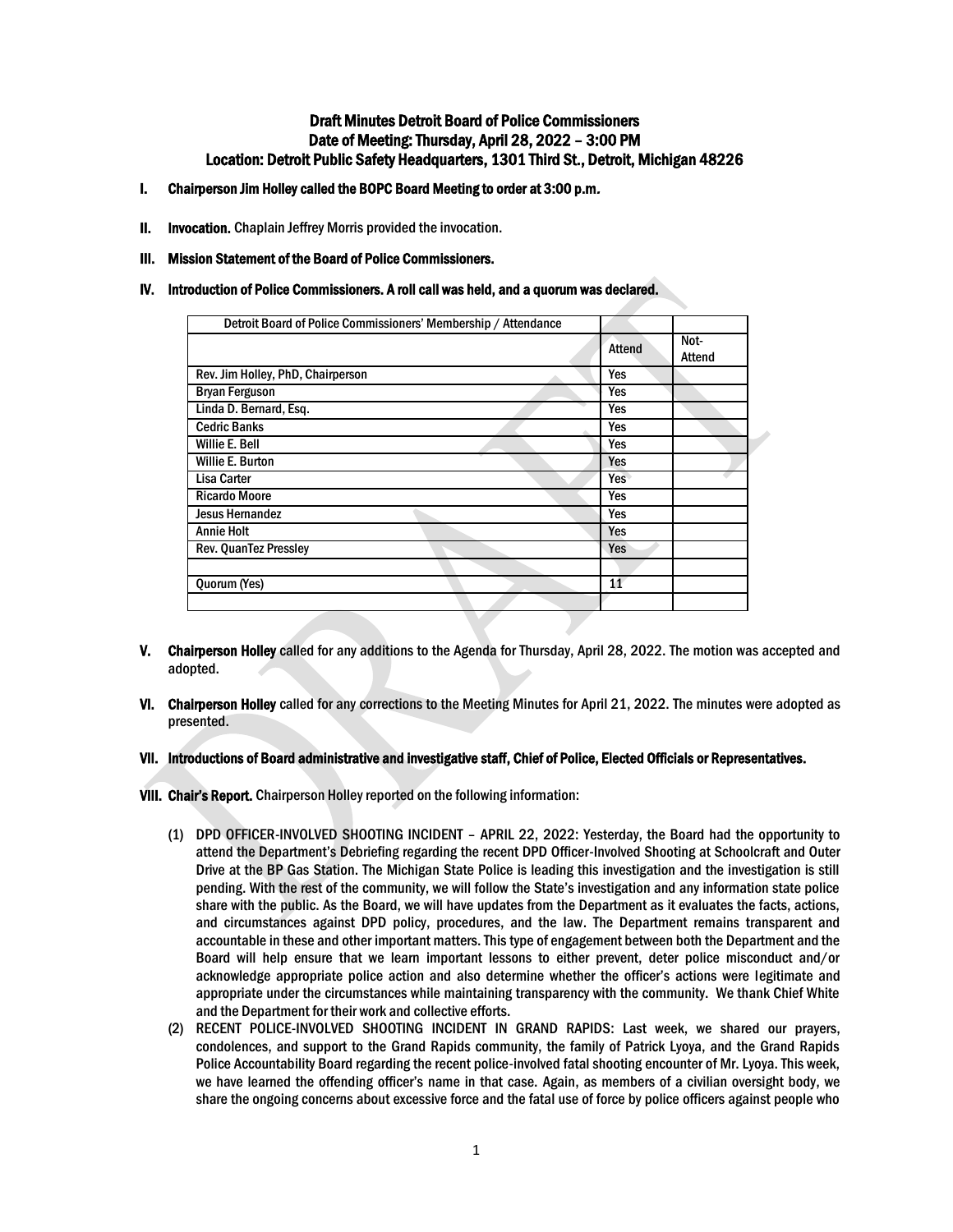# Draft Minutes Detroit Board of Police Commissioners Date of Meeting: Thursday, April 28, 2022 – 3:00 PM Location: Detroit Public Safety Headquarters, 1301 Third St., Detroit, Michigan 48226

- I. Chairperson Jim Holley called the BOPC Board Meeting to order at 3:00 p.m.
- **II.** Invocation. Chaplain Jeffrey Morris provided the invocation.
- III. Mission Statement of the Board of Police Commissioners.
- IV. Introduction of Police Commissioners. A roll call was held, and a quorum was declared.

| Detroit Board of Police Commissioners' Membership / Attendance |               |                |
|----------------------------------------------------------------|---------------|----------------|
|                                                                | <b>Attend</b> | Not-<br>Attend |
| Rev. Jim Holley, PhD, Chairperson                              | Yes           |                |
| <b>Bryan Ferguson</b>                                          | Yes           |                |
| Linda D. Bernard, Esq.                                         | Yes           |                |
| <b>Cedric Banks</b>                                            | Yes           |                |
| Willie E. Bell                                                 | Yes           |                |
| Willie E. Burton                                               | Yes           |                |
| <b>Lisa Carter</b>                                             | Yes           |                |
| <b>Ricardo Moore</b>                                           | Yes           |                |
| <b>Jesus Hernandez</b>                                         | Yes           |                |
| <b>Annie Holt</b>                                              | Yes           |                |
| Rev. QuanTez Pressley                                          | <b>Yes</b>    |                |
|                                                                |               |                |
| Quorum (Yes)                                                   | 11            |                |
|                                                                |               |                |

- V. Chairperson Holley called for any additions to the Agenda for Thursday, April 28, 2022. The motion was accepted and adopted.
- VI. Chairperson Holley called for any corrections to the Meeting Minutes for April 21, 2022. The minutes were adopted as presented.
- VII. Introductions of Board administrative and investigative staff, Chief of Police, Elected Officials or Representatives.

VIII. Chair's Report. Chairperson Holley reported on the following information:

- (1) DPD OFFICER-INVOLVED SHOOTING INCIDENT APRIL 22, 2022: Yesterday, the Board had the opportunity to attend the Department's Debriefing regarding the recent DPD Officer-Involved Shooting at Schoolcraft and Outer Drive at the BP Gas Station. The Michigan State Police is leading this investigation and the investigation is still pending. With the rest of the community, we will follow the State's investigation and any information state police share with the public. As the Board, we will have updates from the Department as it evaluates the facts, actions, and circumstances against DPD policy, procedures, and the law. The Department remains transparent and accountable in these and other important matters. This type of engagement between both the Department and the Board will help ensure that we learn important lessons to either prevent, deter police misconduct and/or acknowledge appropriate police action and also determine whether the officer's actions were legitimate and appropriate under the circumstances while maintaining transparency with the community. We thank Chief White and the Department for their work and collective efforts.
- (2) RECENT POLICE-INVOLVED SHOOTING INCIDENT IN GRAND RAPIDS: Last week, we shared our prayers, condolences, and support to the Grand Rapids community, the family of Patrick Lyoya, and the Grand Rapids Police Accountability Board regarding the recent police-involved fatal shooting encounter of Mr. Lyoya. This week, we have learned the offending officer's name in that case. Again, as members of a civilian oversight body, we share the ongoing concerns about excessive force and the fatal use of force by police officers against people who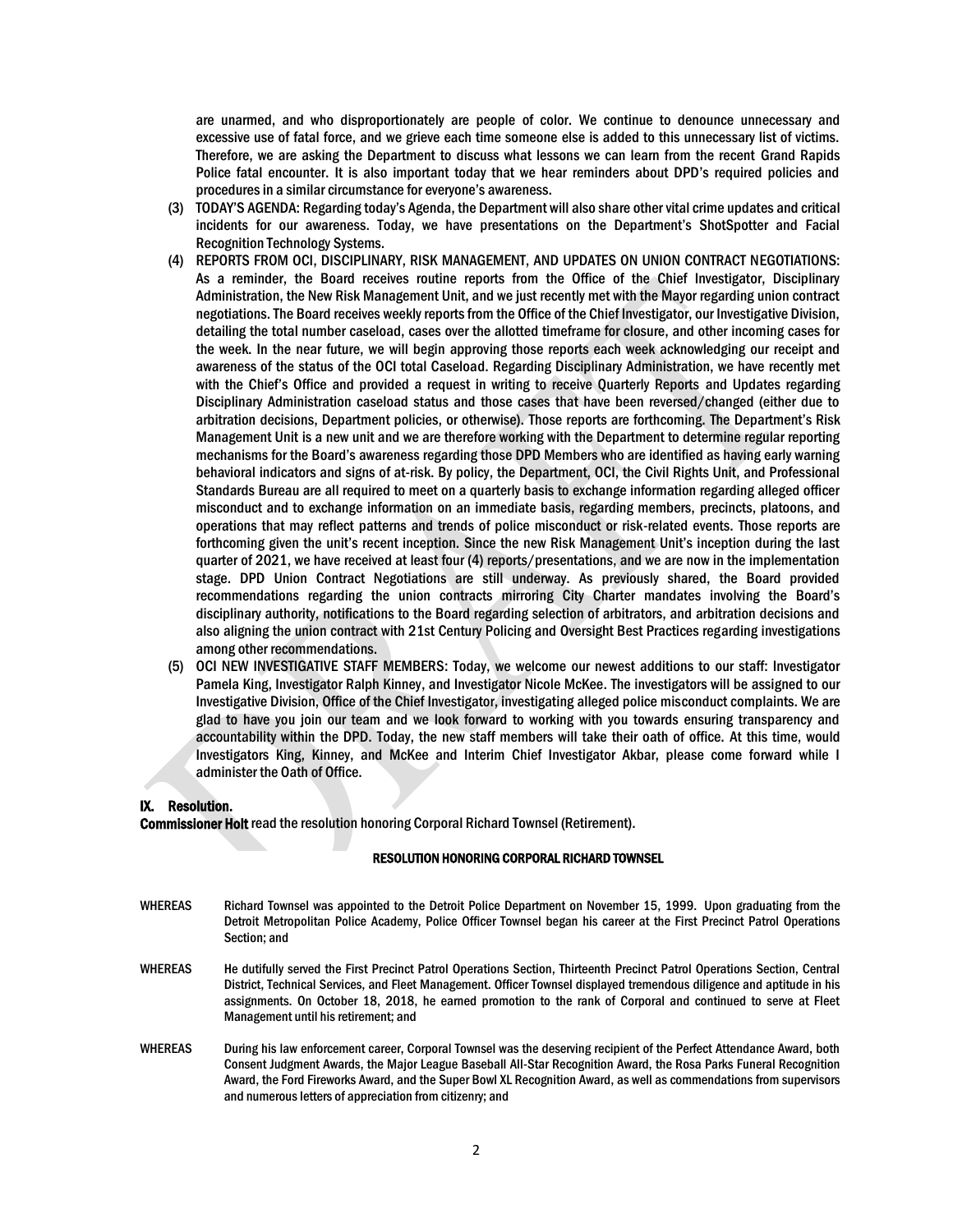are unarmed, and who disproportionately are people of color. We continue to denounce unnecessary and excessive use of fatal force, and we grieve each time someone else is added to this unnecessary list of victims. Therefore, we are asking the Department to discuss what lessons we can learn from the recent Grand Rapids Police fatal encounter. It is also important today that we hear reminders about DPD's required policies and procedures in a similar circumstance for everyone's awareness.

- (3) TODAY'S AGENDA: Regarding today's Agenda, the Department will also share other vital crime updates and critical incidents for our awareness. Today, we have presentations on the Department's ShotSpotter and Facial Recognition Technology Systems.
- (4) REPORTS FROM OCI, DISCIPLINARY, RISK MANAGEMENT, AND UPDATES ON UNION CONTRACT NEGOTIATIONS: As a reminder, the Board receives routine reports from the Office of the Chief Investigator, Disciplinary Administration, the New Risk Management Unit, and we just recently met with the Mayor regarding union contract negotiations. The Board receives weekly reports from the Office of the Chief Investigator, our Investigative Division, detailing the total number caseload, cases over the allotted timeframe for closure, and other incoming cases for the week. In the near future, we will begin approving those reports each week acknowledging our receipt and awareness of the status of the OCI total Caseload. Regarding Disciplinary Administration, we have recently met with the Chief's Office and provided a request in writing to receive Quarterly Reports and Updates regarding Disciplinary Administration caseload status and those cases that have been reversed/changed (either due to arbitration decisions, Department policies, or otherwise). Those reports are forthcoming. The Department's Risk Management Unit is a new unit and we are therefore working with the Department to determine regular reporting mechanisms for the Board's awareness regarding those DPD Members who are identified as having early warning behavioral indicators and signs of at-risk. By policy, the Department, OCI, the Civil Rights Unit, and Professional Standards Bureau are all required to meet on a quarterly basis to exchange information regarding alleged officer misconduct and to exchange information on an immediate basis, regarding members, precincts, platoons, and operations that may reflect patterns and trends of police misconduct or risk-related events. Those reports are forthcoming given the unit's recent inception. Since the new Risk Management Unit's inception during the last quarter of 2021, we have received at least four (4) reports/presentations, and we are now in the implementation stage. DPD Union Contract Negotiations are still underway. As previously shared, the Board provided recommendations regarding the union contracts mirroring City Charter mandates involving the Board's disciplinary authority, notifications to the Board regarding selection of arbitrators, and arbitration decisions and also aligning the union contract with 21st Century Policing and Oversight Best Practices regarding investigations among other recommendations.
- (5) OCI NEW INVESTIGATIVE STAFF MEMBERS: Today, we welcome our newest additions to our staff: Investigator Pamela King, Investigator Ralph Kinney, and Investigator Nicole McKee. The investigators will be assigned to our Investigative Division, Office of the Chief Investigator, investigating alleged police misconduct complaints. We are glad to have you join our team and we look forward to working with you towards ensuring transparency and accountability within the DPD. Today, the new staff members will take their oath of office. At this time, would Investigators King, Kinney, and McKee and Interim Chief Investigator Akbar, please come forward while I administer the Oath of Office.

#### IX. Resolution.

Commissioner Holt read the resolution honoring Corporal Richard Townsel (Retirement).

#### RESOLUTION HONORING CORPORAL RICHARD TOWNSEL

- WHEREAS Richard Townsel was appointed to the Detroit Police Department on November 15, 1999. Upon graduating from the Detroit Metropolitan Police Academy, Police Officer Townsel began his career at the First Precinct Patrol Operations Section; and
- WHEREAS He dutifully served the First Precinct Patrol Operations Section, Thirteenth Precinct Patrol Operations Section, Central District, Technical Services, and Fleet Management. Officer Townsel displayed tremendous diligence and aptitude in his assignments. On October 18, 2018, he earned promotion to the rank of Corporal and continued to serve at Fleet Management until his retirement; and
- WHEREAS During his law enforcement career, Corporal Townsel was the deserving recipient of the Perfect Attendance Award, both Consent Judgment Awards, the Major League Baseball All-Star Recognition Award, the Rosa Parks Funeral Recognition Award, the Ford Fireworks Award, and the Super Bowl XL Recognition Award, as well as commendations from supervisors and numerous letters of appreciation from citizenry; and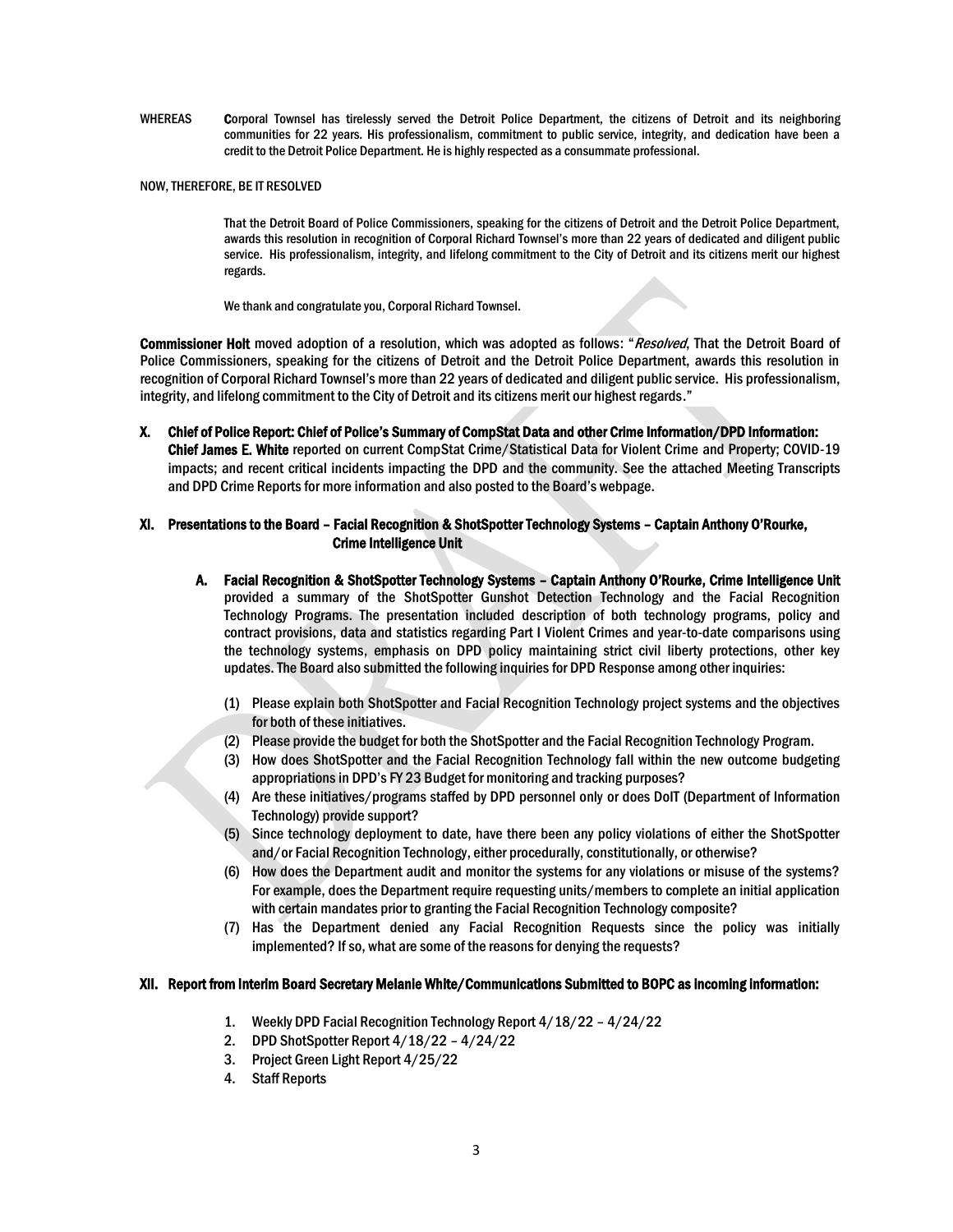WHEREAS Corporal Townsel has tirelessly served the Detroit Police Department, the citizens of Detroit and its neighboring communities for 22 years. His professionalism, commitment to public service, integrity, and dedication have been a credit to the Detroit Police Department. He is highly respected as a consummate professional.

#### NOW, THEREFORE, BE IT RESOLVED

That the Detroit Board of Police Commissioners, speaking for the citizens of Detroit and the Detroit Police Department, awards this resolution in recognition of Corporal Richard Townsel's more than 22 years of dedicated and diligent public service. His professionalism, integrity, and lifelong commitment to the City of Detroit and its citizens merit our highest regards.

We thank and congratulate you, Corporal Richard Townsel.

Commissioner Holt moved adoption of a resolution, which was adopted as follows: "Resolved, That the Detroit Board of Police Commissioners, speaking for the citizens of Detroit and the Detroit Police Department, awards this resolution in recognition of Corporal Richard Townsel's more than 22 years of dedicated and diligent public service. His professionalism, integrity, and lifelong commitment to the City of Detroit and its citizens merit our highest regards."

X. Chief of Police Report: Chief of Police's Summary of CompStat Data and other Crime Information/DPD Information: Chief James E. White reported on current CompStat Crime/Statistical Data for Violent Crime and Property; COVID-19 impacts; and recent critical incidents impacting the DPD and the community. See the attached Meeting Transcripts and DPD Crime Reports for more information and also posted to the Board's webpage.

## XI. Presentations to the Board – Facial Recognition & ShotSpotter Technology Systems – Captain Anthony O'Rourke, Crime Intelligence Unit

- A. Facial Recognition & ShotSpotter Technology Systems Captain Anthony O'Rourke, Crime Intelligence Unit provided a summary of the ShotSpotter Gunshot Detection Technology and the Facial Recognition Technology Programs. The presentation included description of both technology programs, policy and contract provisions, data and statistics regarding Part I Violent Crimes and year-to-date comparisons using the technology systems, emphasis on DPD policy maintaining strict civil liberty protections, other key updates. The Board also submitted the following inquiries for DPD Response among other inquiries:
	- (1) Please explain both ShotSpotter and Facial Recognition Technology project systems and the objectives for both of these initiatives.
	- (2) Please provide the budget for both the ShotSpotter and the Facial Recognition Technology Program.
	- (3) How does ShotSpotter and the Facial Recognition Technology fall within the new outcome budgeting appropriations in DPD's FY 23 Budget for monitoring and tracking purposes?
	- (4) Are these initiatives/programs staffed by DPD personnel only or does DoIT (Department of Information Technology) provide support?
	- (5) Since technology deployment to date, have there been any policy violations of either the ShotSpotter and/or Facial Recognition Technology, either procedurally, constitutionally, or otherwise?
	- (6) How does the Department audit and monitor the systems for any violations or misuse of the systems? For example, does the Department require requesting units/members to complete an initial application with certain mandates prior to granting the Facial Recognition Technology composite?
	- (7) Has the Department denied any Facial Recognition Requests since the policy was initially implemented? If so, what are some of the reasons for denying the requests?

### XII. Report from Interim Board Secretary Melanie White/Communications Submitted to BOPC as incoming information:

- 1. Weekly DPD Facial Recognition Technology Report 4/18/22 4/24/22
- 2. DPD ShotSpotter Report 4/18/22 4/24/22
- 3. Project Green Light Report 4/25/22
- 4. Staff Reports